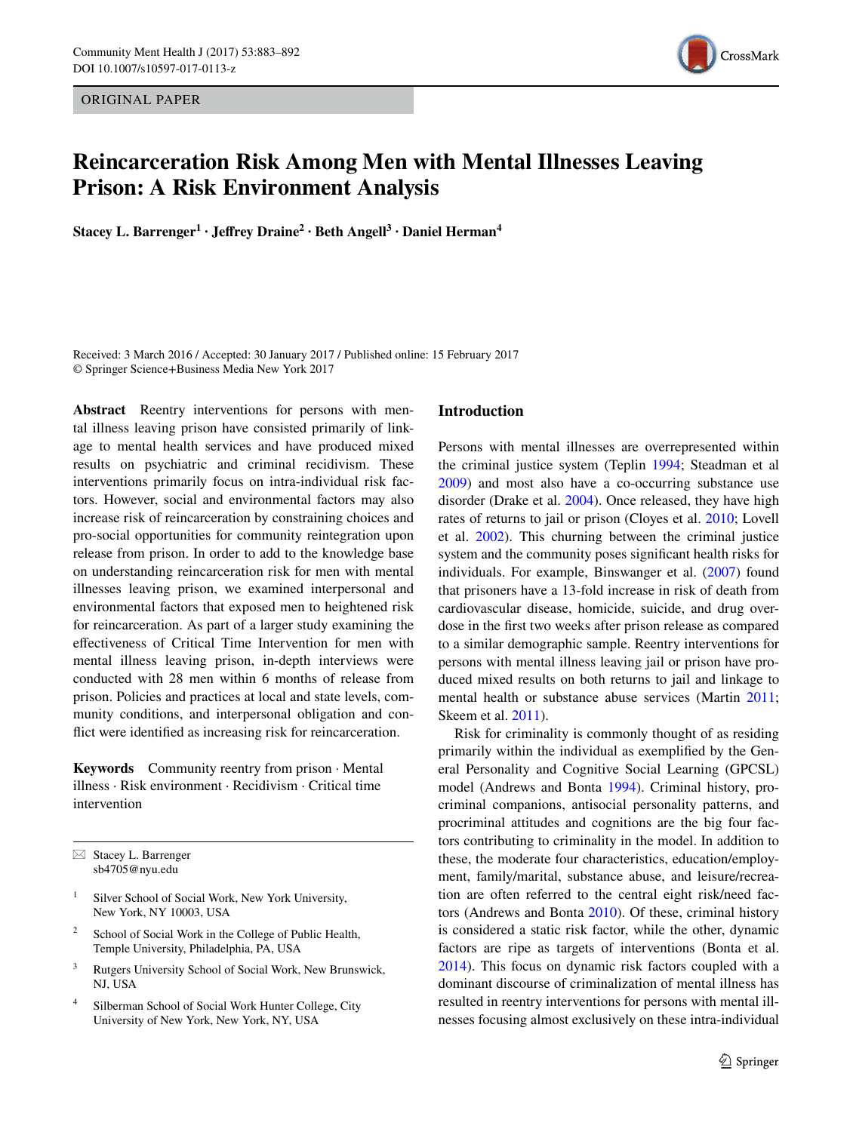ORIGINAL PAPER



# **Reincarceration Risk Among Men with Mental Illnesses Leaving Prison: A Risk Environment Analysis**

**Stacey L. Barrenger1 · Jeffrey Draine<sup>2</sup> · Beth Angell3 · Daniel Herman<sup>4</sup>**

Received: 3 March 2016 / Accepted: 30 January 2017 / Published online: 15 February 2017 © Springer Science+Business Media New York 2017

**Abstract** Reentry interventions for persons with mental illness leaving prison have consisted primarily of linkage to mental health services and have produced mixed results on psychiatric and criminal recidivism. These interventions primarily focus on intra-individual risk factors. However, social and environmental factors may also increase risk of reincarceration by constraining choices and pro-social opportunities for community reintegration upon release from prison. In order to add to the knowledge base on understanding reincarceration risk for men with mental illnesses leaving prison, we examined interpersonal and environmental factors that exposed men to heightened risk for reincarceration. As part of a larger study examining the effectiveness of Critical Time Intervention for men with mental illness leaving prison, in-depth interviews were conducted with 28 men within 6 months of release from prison. Policies and practices at local and state levels, community conditions, and interpersonal obligation and conflict were identified as increasing risk for reincarceration.

**Keywords** Community reentry from prison · Mental illness · Risk environment · Recidivism · Critical time intervention

 $\boxtimes$  Stacey L. Barrenger sb4705@nyu.edu

- Silver School of Social Work, New York University, New York, NY 10003, USA
- School of Social Work in the College of Public Health, Temple University, Philadelphia, PA, USA
- <sup>3</sup> Rutgers University School of Social Work, New Brunswick, NJ, USA
- <sup>4</sup> Silberman School of Social Work Hunter College, City University of New York, New York, NY, USA

#### **Introduction**

Persons with mental illnesses are overrepresented within the criminal justice system (Teplin [1994](#page-9-0); Steadman et al [2009](#page-9-1)) and most also have a co-occurring substance use disorder (Drake et al. [2004\)](#page-9-2). Once released, they have high rates of returns to jail or prison (Cloyes et al. [2010;](#page-9-3) Lovell et al. [2002](#page-9-4)). This churning between the criminal justice system and the community poses significant health risks for individuals. For example, Binswanger et al. [\(2007](#page-9-5)) found that prisoners have a 13-fold increase in risk of death from cardiovascular disease, homicide, suicide, and drug overdose in the first two weeks after prison release as compared to a similar demographic sample. Reentry interventions for persons with mental illness leaving jail or prison have produced mixed results on both returns to jail and linkage to mental health or substance abuse services (Martin [2011](#page-9-6); Skeem et al. [2011\)](#page-9-7).

Risk for criminality is commonly thought of as residing primarily within the individual as exemplified by the General Personality and Cognitive Social Learning (GPCSL) model (Andrews and Bonta [1994](#page-8-0)). Criminal history, procriminal companions, antisocial personality patterns, and procriminal attitudes and cognitions are the big four factors contributing to criminality in the model. In addition to these, the moderate four characteristics, education/employment, family/marital, substance abuse, and leisure/recreation are often referred to the central eight risk/need factors (Andrews and Bonta [2010\)](#page-8-1). Of these, criminal history is considered a static risk factor, while the other, dynamic factors are ripe as targets of interventions (Bonta et al. [2014](#page-9-8)). This focus on dynamic risk factors coupled with a dominant discourse of criminalization of mental illness has resulted in reentry interventions for persons with mental illnesses focusing almost exclusively on these intra-individual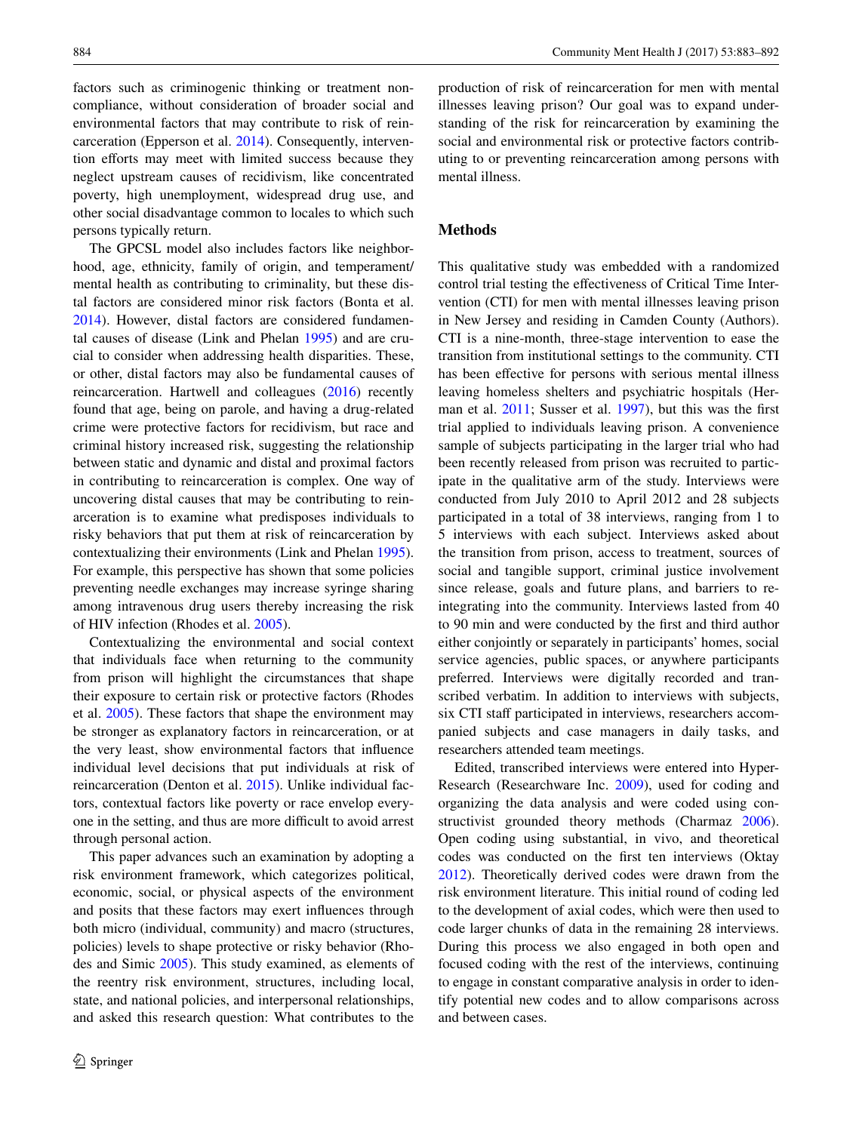factors such as criminogenic thinking or treatment noncompliance, without consideration of broader social and environmental factors that may contribute to risk of reincarceration (Epperson et al. [2014\)](#page-9-9). Consequently, intervention efforts may meet with limited success because they neglect upstream causes of recidivism, like concentrated poverty, high unemployment, widespread drug use, and other social disadvantage common to locales to which such persons typically return.

The GPCSL model also includes factors like neighborhood, age, ethnicity, family of origin, and temperament/ mental health as contributing to criminality, but these distal factors are considered minor risk factors (Bonta et al. [2014](#page-9-8)). However, distal factors are considered fundamental causes of disease (Link and Phelan [1995](#page-9-10)) and are crucial to consider when addressing health disparities. These, or other, distal factors may also be fundamental causes of reincarceration. Hartwell and colleagues ([2016\)](#page-9-11) recently found that age, being on parole, and having a drug-related crime were protective factors for recidivism, but race and criminal history increased risk, suggesting the relationship between static and dynamic and distal and proximal factors in contributing to reincarceration is complex. One way of uncovering distal causes that may be contributing to reinarceration is to examine what predisposes individuals to risky behaviors that put them at risk of reincarceration by contextualizing their environments (Link and Phelan [1995](#page-9-10)). For example, this perspective has shown that some policies preventing needle exchanges may increase syringe sharing among intravenous drug users thereby increasing the risk of HIV infection (Rhodes et al. [2005\)](#page-9-12).

Contextualizing the environmental and social context that individuals face when returning to the community from prison will highlight the circumstances that shape their exposure to certain risk or protective factors (Rhodes et al. [2005\)](#page-9-12). These factors that shape the environment may be stronger as explanatory factors in reincarceration, or at the very least, show environmental factors that influence individual level decisions that put individuals at risk of reincarceration (Denton et al. [2015\)](#page-9-13). Unlike individual factors, contextual factors like poverty or race envelop everyone in the setting, and thus are more difficult to avoid arrest through personal action.

This paper advances such an examination by adopting a risk environment framework, which categorizes political, economic, social, or physical aspects of the environment and posits that these factors may exert influences through both micro (individual, community) and macro (structures, policies) levels to shape protective or risky behavior (Rhodes and Simic [2005\)](#page-9-14). This study examined, as elements of the reentry risk environment, structures, including local, state, and national policies, and interpersonal relationships, and asked this research question: What contributes to the production of risk of reincarceration for men with mental illnesses leaving prison? Our goal was to expand understanding of the risk for reincarceration by examining the social and environmental risk or protective factors contributing to or preventing reincarceration among persons with mental illness.

## **Methods**

This qualitative study was embedded with a randomized control trial testing the effectiveness of Critical Time Intervention (CTI) for men with mental illnesses leaving prison in New Jersey and residing in Camden County (Authors). CTI is a nine-month, three-stage intervention to ease the transition from institutional settings to the community. CTI has been effective for persons with serious mental illness leaving homeless shelters and psychiatric hospitals (Herman et al. [2011;](#page-9-15) Susser et al. [1997\)](#page-9-16), but this was the first trial applied to individuals leaving prison. A convenience sample of subjects participating in the larger trial who had been recently released from prison was recruited to participate in the qualitative arm of the study. Interviews were conducted from July 2010 to April 2012 and 28 subjects participated in a total of 38 interviews, ranging from 1 to 5 interviews with each subject. Interviews asked about the transition from prison, access to treatment, sources of social and tangible support, criminal justice involvement since release, goals and future plans, and barriers to reintegrating into the community. Interviews lasted from 40 to 90 min and were conducted by the first and third author either conjointly or separately in participants' homes, social service agencies, public spaces, or anywhere participants preferred. Interviews were digitally recorded and transcribed verbatim. In addition to interviews with subjects, six CTI staff participated in interviews, researchers accompanied subjects and case managers in daily tasks, and researchers attended team meetings.

Edited, transcribed interviews were entered into Hyper-Research (Researchware Inc. [2009\)](#page-9-17), used for coding and organizing the data analysis and were coded using constructivist grounded theory methods (Charmaz [2006](#page-9-18)). Open coding using substantial, in vivo, and theoretical codes was conducted on the first ten interviews (Oktay [2012](#page-9-19)). Theoretically derived codes were drawn from the risk environment literature. This initial round of coding led to the development of axial codes, which were then used to code larger chunks of data in the remaining 28 interviews. During this process we also engaged in both open and focused coding with the rest of the interviews, continuing to engage in constant comparative analysis in order to identify potential new codes and to allow comparisons across and between cases.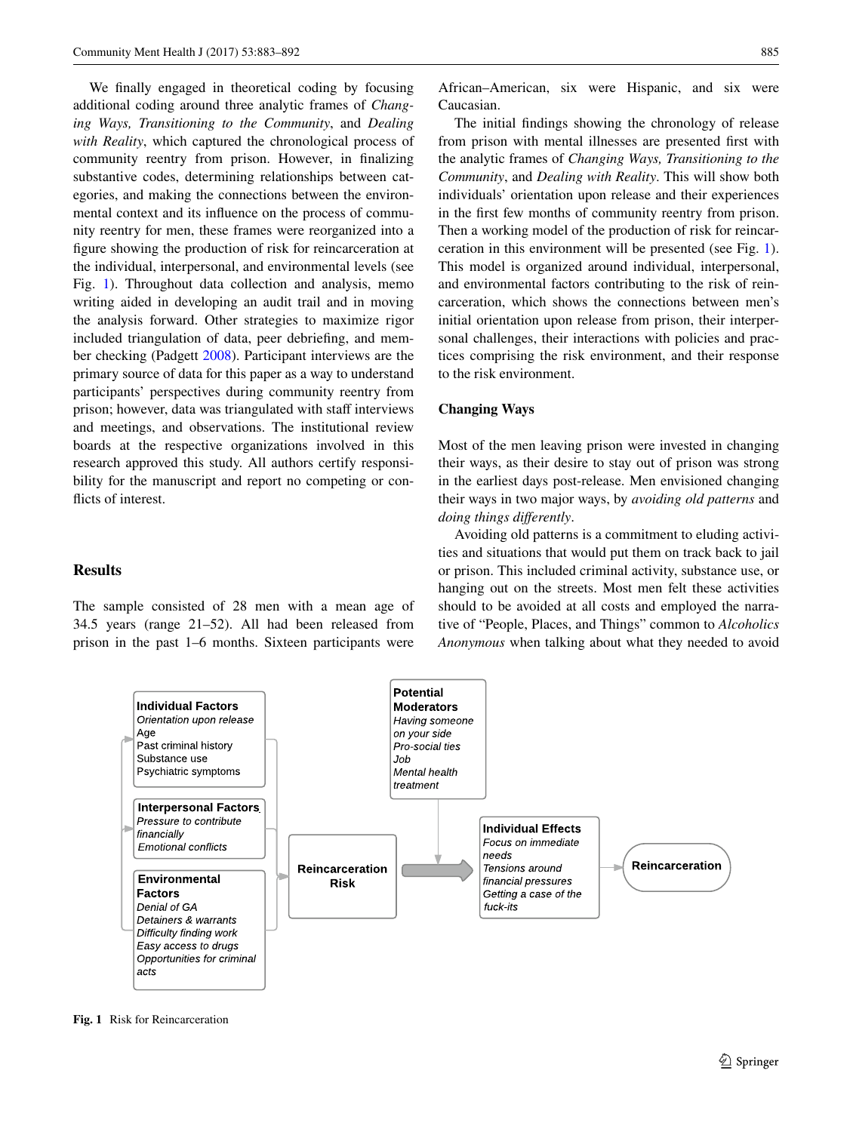We finally engaged in theoretical coding by focusing additional coding around three analytic frames of *Changing Ways, Transitioning to the Community*, and *Dealing with Reality*, which captured the chronological process of community reentry from prison. However, in finalizing substantive codes, determining relationships between categories, and making the connections between the environmental context and its influence on the process of community reentry for men, these frames were reorganized into a figure showing the production of risk for reincarceration at the individual, interpersonal, and environmental levels (see Fig. [1\)](#page-2-0). Throughout data collection and analysis, memo writing aided in developing an audit trail and in moving the analysis forward. Other strategies to maximize rigor included triangulation of data, peer debriefing, and member checking (Padgett [2008\)](#page-9-20). Participant interviews are the primary source of data for this paper as a way to understand participants' perspectives during community reentry from prison; however, data was triangulated with staff interviews and meetings, and observations. The institutional review boards at the respective organizations involved in this research approved this study. All authors certify responsibility for the manuscript and report no competing or conflicts of interest.

## **Results**

The sample consisted of 28 men with a mean age of 34.5 years (range 21–52). All had been released from prison in the past 1–6 months. Sixteen participants were

African–American, six were Hispanic, and six were Caucasian.

The initial findings showing the chronology of release from prison with mental illnesses are presented first with the analytic frames of *Changing Ways, Transitioning to the Community*, and *Dealing with Reality*. This will show both individuals' orientation upon release and their experiences in the first few months of community reentry from prison. Then a working model of the production of risk for reincarceration in this environment will be presented (see Fig. [1](#page-2-0)). This model is organized around individual, interpersonal, and environmental factors contributing to the risk of reincarceration, which shows the connections between men's initial orientation upon release from prison, their interpersonal challenges, their interactions with policies and practices comprising the risk environment, and their response to the risk environment.

#### **Changing Ways**

Most of the men leaving prison were invested in changing their ways, as their desire to stay out of prison was strong in the earliest days post-release. Men envisioned changing their ways in two major ways, by *avoiding old patterns* and *doing things differently*.

Avoiding old patterns is a commitment to eluding activities and situations that would put them on track back to jail or prison. This included criminal activity, substance use, or hanging out on the streets. Most men felt these activities should to be avoided at all costs and employed the narrative of "People, Places, and Things" common to *Alcoholics Anonymous* when talking about what they needed to avoid



<span id="page-2-0"></span>**Fig. 1** Risk for Reincarceration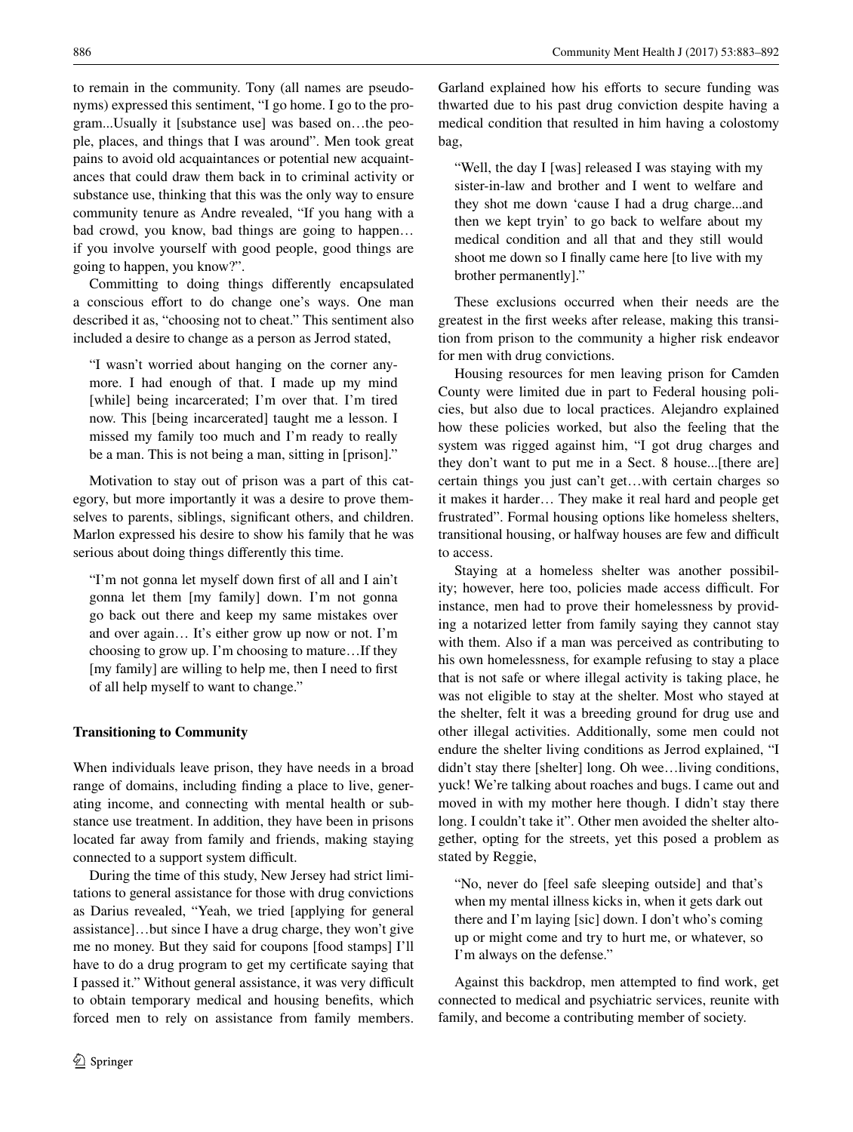to remain in the community. Tony (all names are pseudonyms) expressed this sentiment, "I go home. I go to the program...Usually it [substance use] was based on…the people, places, and things that I was around". Men took great pains to avoid old acquaintances or potential new acquaintances that could draw them back in to criminal activity or substance use, thinking that this was the only way to ensure community tenure as Andre revealed, "If you hang with a bad crowd, you know, bad things are going to happen… if you involve yourself with good people, good things are going to happen, you know?".

Committing to doing things differently encapsulated a conscious effort to do change one's ways. One man described it as, "choosing not to cheat." This sentiment also included a desire to change as a person as Jerrod stated,

"I wasn't worried about hanging on the corner anymore. I had enough of that. I made up my mind [while] being incarcerated; I'm over that. I'm tired now. This [being incarcerated] taught me a lesson. I missed my family too much and I'm ready to really be a man. This is not being a man, sitting in [prison]."

Motivation to stay out of prison was a part of this category, but more importantly it was a desire to prove themselves to parents, siblings, significant others, and children. Marlon expressed his desire to show his family that he was serious about doing things differently this time.

"I'm not gonna let myself down first of all and I ain't gonna let them [my family] down. I'm not gonna go back out there and keep my same mistakes over and over again… It's either grow up now or not. I'm choosing to grow up. I'm choosing to mature…If they [my family] are willing to help me, then I need to first of all help myself to want to change."

## **Transitioning to Community**

When individuals leave prison, they have needs in a broad range of domains, including finding a place to live, generating income, and connecting with mental health or substance use treatment. In addition, they have been in prisons located far away from family and friends, making staying connected to a support system difficult.

During the time of this study, New Jersey had strict limitations to general assistance for those with drug convictions as Darius revealed, "Yeah, we tried [applying for general assistance]…but since I have a drug charge, they won't give me no money. But they said for coupons [food stamps] I'll have to do a drug program to get my certificate saying that I passed it." Without general assistance, it was very difficult to obtain temporary medical and housing benefits, which forced men to rely on assistance from family members.

Garland explained how his efforts to secure funding was thwarted due to his past drug conviction despite having a medical condition that resulted in him having a colostomy bag,

"Well, the day I [was] released I was staying with my sister-in-law and brother and I went to welfare and they shot me down 'cause I had a drug charge...and then we kept tryin' to go back to welfare about my medical condition and all that and they still would shoot me down so I finally came here [to live with my brother permanently]."

These exclusions occurred when their needs are the greatest in the first weeks after release, making this transition from prison to the community a higher risk endeavor for men with drug convictions.

Housing resources for men leaving prison for Camden County were limited due in part to Federal housing policies, but also due to local practices. Alejandro explained how these policies worked, but also the feeling that the system was rigged against him, "I got drug charges and they don't want to put me in a Sect. 8 house...[there are] certain things you just can't get…with certain charges so it makes it harder… They make it real hard and people get frustrated". Formal housing options like homeless shelters, transitional housing, or halfway houses are few and difficult to access.

Staying at a homeless shelter was another possibility; however, here too, policies made access difficult. For instance, men had to prove their homelessness by providing a notarized letter from family saying they cannot stay with them. Also if a man was perceived as contributing to his own homelessness, for example refusing to stay a place that is not safe or where illegal activity is taking place, he was not eligible to stay at the shelter. Most who stayed at the shelter, felt it was a breeding ground for drug use and other illegal activities. Additionally, some men could not endure the shelter living conditions as Jerrod explained, "I didn't stay there [shelter] long. Oh wee…living conditions, yuck! We're talking about roaches and bugs. I came out and moved in with my mother here though. I didn't stay there long. I couldn't take it". Other men avoided the shelter altogether, opting for the streets, yet this posed a problem as stated by Reggie,

"No, never do [feel safe sleeping outside] and that's when my mental illness kicks in, when it gets dark out there and I'm laying [sic] down. I don't who's coming up or might come and try to hurt me, or whatever, so I'm always on the defense."

Against this backdrop, men attempted to find work, get connected to medical and psychiatric services, reunite with family, and become a contributing member of society.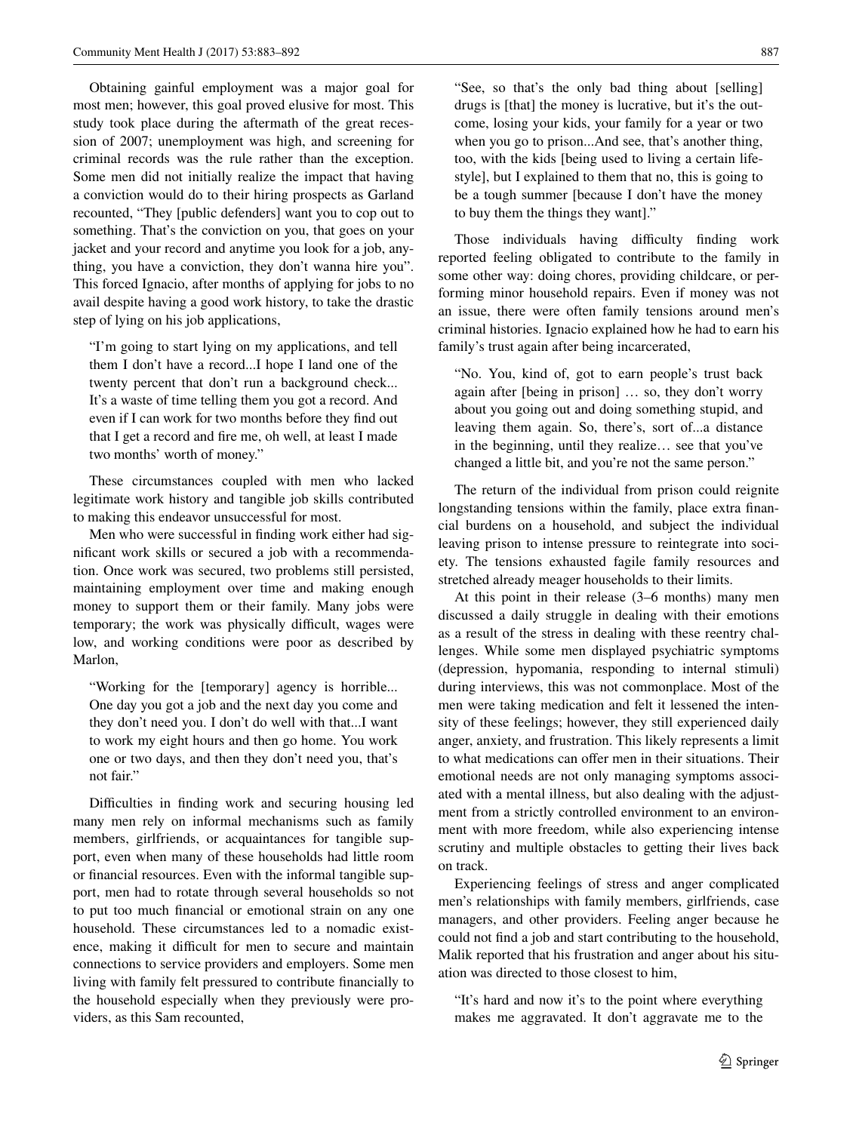Obtaining gainful employment was a major goal for most men; however, this goal proved elusive for most. This study took place during the aftermath of the great recession of 2007; unemployment was high, and screening for criminal records was the rule rather than the exception. Some men did not initially realize the impact that having a conviction would do to their hiring prospects as Garland recounted, "They [public defenders] want you to cop out to something. That's the conviction on you, that goes on your jacket and your record and anytime you look for a job, anything, you have a conviction, they don't wanna hire you". This forced Ignacio, after months of applying for jobs to no avail despite having a good work history, to take the drastic step of lying on his job applications,

"I'm going to start lying on my applications, and tell them I don't have a record...I hope I land one of the twenty percent that don't run a background check... It's a waste of time telling them you got a record. And even if I can work for two months before they find out that I get a record and fire me, oh well, at least I made two months' worth of money."

These circumstances coupled with men who lacked legitimate work history and tangible job skills contributed to making this endeavor unsuccessful for most.

Men who were successful in finding work either had significant work skills or secured a job with a recommendation. Once work was secured, two problems still persisted, maintaining employment over time and making enough money to support them or their family. Many jobs were temporary; the work was physically difficult, wages were low, and working conditions were poor as described by Marlon,

"Working for the [temporary] agency is horrible... One day you got a job and the next day you come and they don't need you. I don't do well with that...I want to work my eight hours and then go home. You work one or two days, and then they don't need you, that's not fair."

Difficulties in finding work and securing housing led many men rely on informal mechanisms such as family members, girlfriends, or acquaintances for tangible support, even when many of these households had little room or financial resources. Even with the informal tangible support, men had to rotate through several households so not to put too much financial or emotional strain on any one household. These circumstances led to a nomadic existence, making it difficult for men to secure and maintain connections to service providers and employers. Some men living with family felt pressured to contribute financially to the household especially when they previously were providers, as this Sam recounted,

"See, so that's the only bad thing about [selling] drugs is [that] the money is lucrative, but it's the outcome, losing your kids, your family for a year or two when you go to prison...And see, that's another thing, too, with the kids [being used to living a certain lifestyle], but I explained to them that no, this is going to be a tough summer [because I don't have the money to buy them the things they want]."

Those individuals having difficulty finding work reported feeling obligated to contribute to the family in some other way: doing chores, providing childcare, or performing minor household repairs. Even if money was not an issue, there were often family tensions around men's criminal histories. Ignacio explained how he had to earn his family's trust again after being incarcerated,

"No. You, kind of, got to earn people's trust back again after [being in prison] … so, they don't worry about you going out and doing something stupid, and leaving them again. So, there's, sort of...a distance in the beginning, until they realize… see that you've changed a little bit, and you're not the same person."

The return of the individual from prison could reignite longstanding tensions within the family, place extra financial burdens on a household, and subject the individual leaving prison to intense pressure to reintegrate into society. The tensions exhausted fagile family resources and stretched already meager households to their limits.

At this point in their release (3–6 months) many men discussed a daily struggle in dealing with their emotions as a result of the stress in dealing with these reentry challenges. While some men displayed psychiatric symptoms (depression, hypomania, responding to internal stimuli) during interviews, this was not commonplace. Most of the men were taking medication and felt it lessened the intensity of these feelings; however, they still experienced daily anger, anxiety, and frustration. This likely represents a limit to what medications can offer men in their situations. Their emotional needs are not only managing symptoms associated with a mental illness, but also dealing with the adjustment from a strictly controlled environment to an environment with more freedom, while also experiencing intense scrutiny and multiple obstacles to getting their lives back on track.

Experiencing feelings of stress and anger complicated men's relationships with family members, girlfriends, case managers, and other providers. Feeling anger because he could not find a job and start contributing to the household, Malik reported that his frustration and anger about his situation was directed to those closest to him,

"It's hard and now it's to the point where everything makes me aggravated. It don't aggravate me to the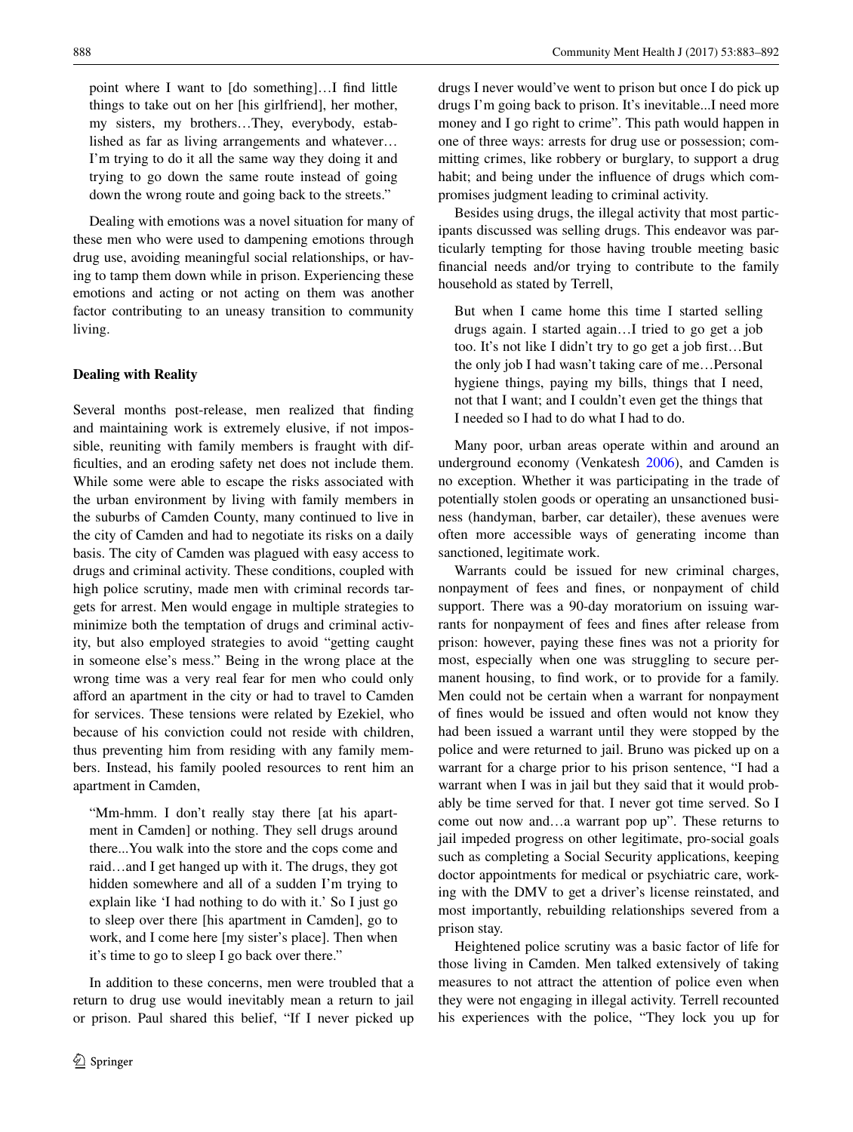point where I want to [do something]…I find little things to take out on her [his girlfriend], her mother, my sisters, my brothers…They, everybody, established as far as living arrangements and whatever… I'm trying to do it all the same way they doing it and trying to go down the same route instead of going down the wrong route and going back to the streets."

Dealing with emotions was a novel situation for many of these men who were used to dampening emotions through drug use, avoiding meaningful social relationships, or having to tamp them down while in prison. Experiencing these emotions and acting or not acting on them was another factor contributing to an uneasy transition to community living.

### **Dealing with Reality**

Several months post-release, men realized that finding and maintaining work is extremely elusive, if not impossible, reuniting with family members is fraught with difficulties, and an eroding safety net does not include them. While some were able to escape the risks associated with the urban environment by living with family members in the suburbs of Camden County, many continued to live in the city of Camden and had to negotiate its risks on a daily basis. The city of Camden was plagued with easy access to drugs and criminal activity. These conditions, coupled with high police scrutiny, made men with criminal records targets for arrest. Men would engage in multiple strategies to minimize both the temptation of drugs and criminal activity, but also employed strategies to avoid "getting caught in someone else's mess." Being in the wrong place at the wrong time was a very real fear for men who could only afford an apartment in the city or had to travel to Camden for services. These tensions were related by Ezekiel, who because of his conviction could not reside with children, thus preventing him from residing with any family members. Instead, his family pooled resources to rent him an apartment in Camden,

"Mm-hmm. I don't really stay there [at his apartment in Camden] or nothing. They sell drugs around there...You walk into the store and the cops come and raid…and I get hanged up with it. The drugs, they got hidden somewhere and all of a sudden I'm trying to explain like 'I had nothing to do with it.' So I just go to sleep over there [his apartment in Camden], go to work, and I come here [my sister's place]. Then when it's time to go to sleep I go back over there."

In addition to these concerns, men were troubled that a return to drug use would inevitably mean a return to jail or prison. Paul shared this belief, "If I never picked up drugs I never would've went to prison but once I do pick up drugs I'm going back to prison. It's inevitable...I need more money and I go right to crime". This path would happen in one of three ways: arrests for drug use or possession; committing crimes, like robbery or burglary, to support a drug habit; and being under the influence of drugs which compromises judgment leading to criminal activity.

Besides using drugs, the illegal activity that most participants discussed was selling drugs. This endeavor was particularly tempting for those having trouble meeting basic financial needs and/or trying to contribute to the family household as stated by Terrell,

But when I came home this time I started selling drugs again. I started again…I tried to go get a job too. It's not like I didn't try to go get a job first…But the only job I had wasn't taking care of me…Personal hygiene things, paying my bills, things that I need, not that I want; and I couldn't even get the things that I needed so I had to do what I had to do.

Many poor, urban areas operate within and around an underground economy (Venkatesh [2006](#page-9-21)), and Camden is no exception. Whether it was participating in the trade of potentially stolen goods or operating an unsanctioned business (handyman, barber, car detailer), these avenues were often more accessible ways of generating income than sanctioned, legitimate work.

Warrants could be issued for new criminal charges, nonpayment of fees and fines, or nonpayment of child support. There was a 90-day moratorium on issuing warrants for nonpayment of fees and fines after release from prison: however, paying these fines was not a priority for most, especially when one was struggling to secure permanent housing, to find work, or to provide for a family. Men could not be certain when a warrant for nonpayment of fines would be issued and often would not know they had been issued a warrant until they were stopped by the police and were returned to jail. Bruno was picked up on a warrant for a charge prior to his prison sentence, "I had a warrant when I was in jail but they said that it would probably be time served for that. I never got time served. So I come out now and…a warrant pop up". These returns to jail impeded progress on other legitimate, pro-social goals such as completing a Social Security applications, keeping doctor appointments for medical or psychiatric care, working with the DMV to get a driver's license reinstated, and most importantly, rebuilding relationships severed from a prison stay.

Heightened police scrutiny was a basic factor of life for those living in Camden. Men talked extensively of taking measures to not attract the attention of police even when they were not engaging in illegal activity. Terrell recounted his experiences with the police, "They lock you up for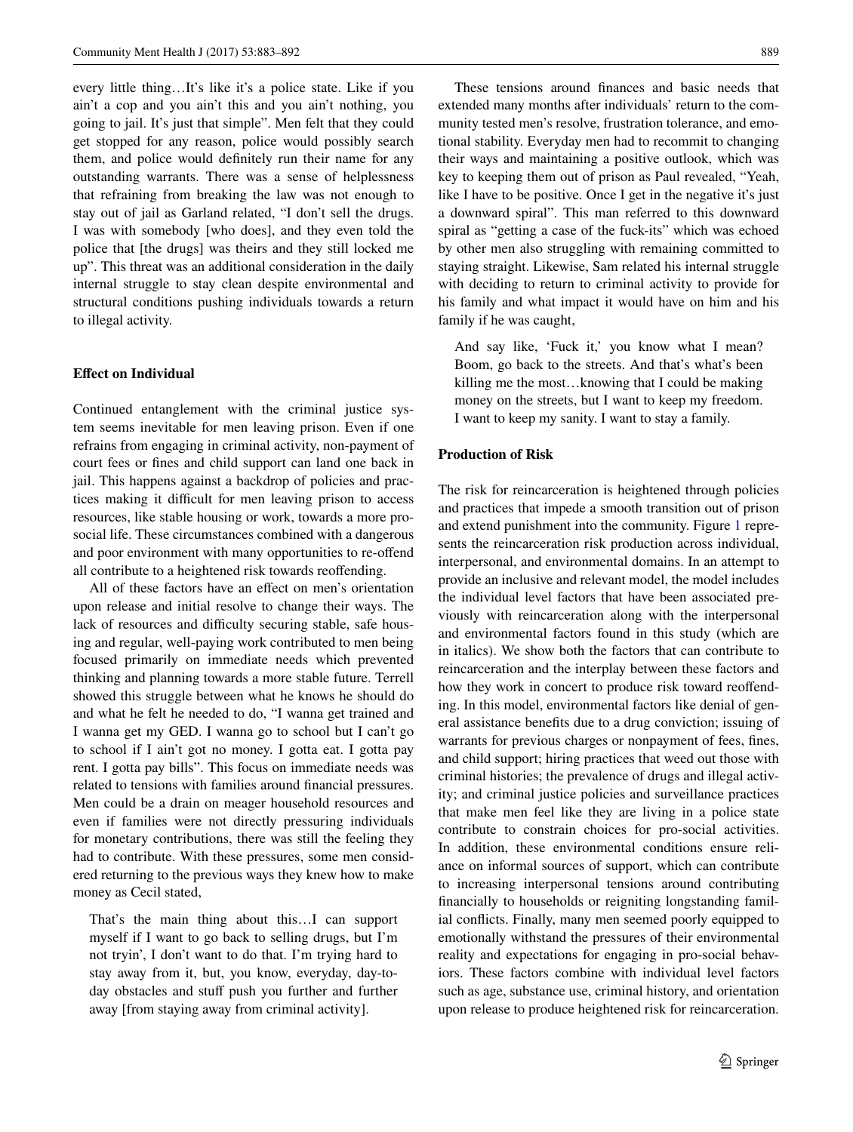every little thing…It's like it's a police state. Like if you ain't a cop and you ain't this and you ain't nothing, you going to jail. It's just that simple". Men felt that they could get stopped for any reason, police would possibly search them, and police would definitely run their name for any outstanding warrants. There was a sense of helplessness that refraining from breaking the law was not enough to stay out of jail as Garland related, "I don't sell the drugs. I was with somebody [who does], and they even told the police that [the drugs] was theirs and they still locked me up". This threat was an additional consideration in the daily internal struggle to stay clean despite environmental and structural conditions pushing individuals towards a return to illegal activity.

#### **Effect on Individual**

Continued entanglement with the criminal justice system seems inevitable for men leaving prison. Even if one refrains from engaging in criminal activity, non-payment of court fees or fines and child support can land one back in jail. This happens against a backdrop of policies and practices making it difficult for men leaving prison to access resources, like stable housing or work, towards a more prosocial life. These circumstances combined with a dangerous and poor environment with many opportunities to re-offend all contribute to a heightened risk towards reoffending.

All of these factors have an effect on men's orientation upon release and initial resolve to change their ways. The lack of resources and difficulty securing stable, safe housing and regular, well-paying work contributed to men being focused primarily on immediate needs which prevented thinking and planning towards a more stable future. Terrell showed this struggle between what he knows he should do and what he felt he needed to do, "I wanna get trained and I wanna get my GED. I wanna go to school but I can't go to school if I ain't got no money. I gotta eat. I gotta pay rent. I gotta pay bills". This focus on immediate needs was related to tensions with families around financial pressures. Men could be a drain on meager household resources and even if families were not directly pressuring individuals for monetary contributions, there was still the feeling they had to contribute. With these pressures, some men considered returning to the previous ways they knew how to make money as Cecil stated,

That's the main thing about this…I can support myself if I want to go back to selling drugs, but I'm not tryin', I don't want to do that. I'm trying hard to stay away from it, but, you know, everyday, day-today obstacles and stuff push you further and further away [from staying away from criminal activity].

These tensions around finances and basic needs that extended many months after individuals' return to the community tested men's resolve, frustration tolerance, and emotional stability. Everyday men had to recommit to changing their ways and maintaining a positive outlook, which was key to keeping them out of prison as Paul revealed, "Yeah, like I have to be positive. Once I get in the negative it's just a downward spiral". This man referred to this downward spiral as "getting a case of the fuck-its" which was echoed by other men also struggling with remaining committed to staying straight. Likewise, Sam related his internal struggle with deciding to return to criminal activity to provide for his family and what impact it would have on him and his family if he was caught,

And say like, 'Fuck it,' you know what I mean? Boom, go back to the streets. And that's what's been killing me the most…knowing that I could be making money on the streets, but I want to keep my freedom. I want to keep my sanity. I want to stay a family.

#### **Production of Risk**

The risk for reincarceration is heightened through policies and practices that impede a smooth transition out of prison and extend punishment into the community. Figure [1](#page-2-0) represents the reincarceration risk production across individual, interpersonal, and environmental domains. In an attempt to provide an inclusive and relevant model, the model includes the individual level factors that have been associated previously with reincarceration along with the interpersonal and environmental factors found in this study (which are in italics). We show both the factors that can contribute to reincarceration and the interplay between these factors and how they work in concert to produce risk toward reoffending. In this model, environmental factors like denial of general assistance benefits due to a drug conviction; issuing of warrants for previous charges or nonpayment of fees, fines, and child support; hiring practices that weed out those with criminal histories; the prevalence of drugs and illegal activity; and criminal justice policies and surveillance practices that make men feel like they are living in a police state contribute to constrain choices for pro-social activities. In addition, these environmental conditions ensure reliance on informal sources of support, which can contribute to increasing interpersonal tensions around contributing financially to households or reigniting longstanding familial conflicts. Finally, many men seemed poorly equipped to emotionally withstand the pressures of their environmental reality and expectations for engaging in pro-social behaviors. These factors combine with individual level factors such as age, substance use, criminal history, and orientation upon release to produce heightened risk for reincarceration.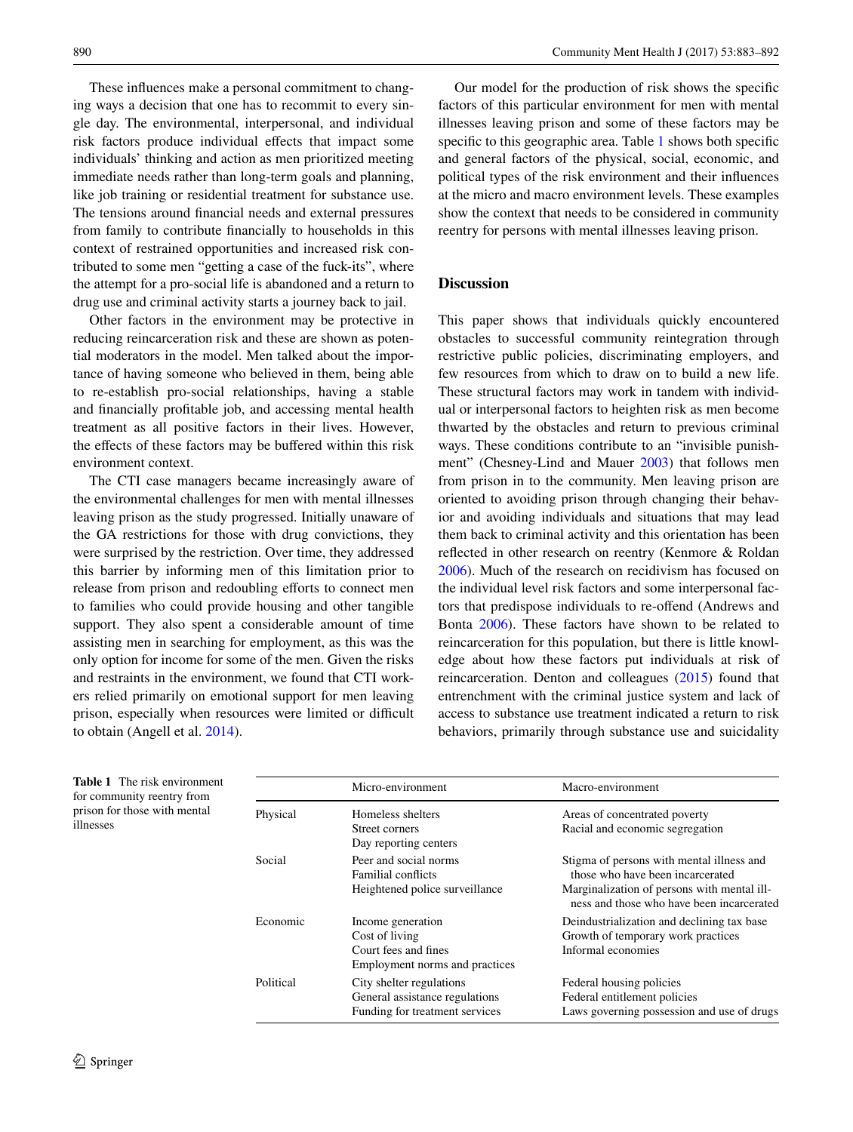These influences make a personal commitment to changing ways a decision that one has to recommit to every single day. The environmental, interpersonal, and individual risk factors produce individual effects that impact some individuals' thinking and action as men prioritized meeting immediate needs rather than long-term goals and planning, like job training or residential treatment for substance use. The tensions around financial needs and external pressures from family to contribute financially to households in this context of restrained opportunities and increased risk contributed to some men "getting a case of the fuck-its", where the attempt for a pro-social life is abandoned and a return to drug use and criminal activity starts a journey back to jail.

Other factors in the environment may be protective in reducing reincarceration risk and these are shown as potential moderators in the model. Men talked about the importance of having someone who believed in them, being able to re-establish pro-social relationships, having a stable and financially profitable job, and accessing mental health treatment as all positive factors in their lives. However, the effects of these factors may be buffered within this risk environment context.

The CTI case managers became increasingly aware of the environmental challenges for men with mental illnesses leaving prison as the study progressed. Initially unaware of the GA restrictions for those with drug convictions, they were surprised by the restriction. Over time, they addressed this barrier by informing men of this limitation prior to release from prison and redoubling efforts to connect men to families who could provide housing and other tangible support. They also spent a considerable amount of time assisting men in searching for employment, as this was the only option for income for some of the men. Given the risks and restraints in the environment, we found that CTI workers relied primarily on emotional support for men leaving prison, especially when resources were limited or difficult to obtain (Angell et al. [2014\)](#page-8-2).

Our model for the production of risk shows the specific factors of this particular environment for men with mental illnesses leaving prison and some of these factors may be specific to this geographic area. Table [1](#page-7-0) shows both specific and general factors of the physical, social, economic, and political types of the risk environment and their influences at the micro and macro environment levels. These examples show the context that needs to be considered in community reentry for persons with mental illnesses leaving prison.

# **Discussion**

This paper shows that individuals quickly encountered obstacles to successful community reintegration through restrictive public policies, discriminating employers, and few resources from which to draw on to build a new life. These structural factors may work in tandem with individual or interpersonal factors to heighten risk as men become thwarted by the obstacles and return to previous criminal ways. These conditions contribute to an "invisible punishment" (Chesney-Lind and Mauer [2003](#page-9-22)) that follows men from prison in to the community. Men leaving prison are oriented to avoiding prison through changing their behavior and avoiding individuals and situations that may lead them back to criminal activity and this orientation has been reflected in other research on reentry (Kenmore & Roldan [2006](#page-9-23)). Much of the research on recidivism has focused on the individual level risk factors and some interpersonal factors that predispose individuals to re-offend (Andrews and Bonta [2006\)](#page-8-3). These factors have shown to be related to reincarceration for this population, but there is little knowledge about how these factors put individuals at risk of reincarceration. Denton and colleagues ([2015\)](#page-9-13) found that entrenchment with the criminal justice system and lack of access to substance use treatment indicated a return to risk behaviors, primarily through substance use and suicidality

<span id="page-7-0"></span>

| <b>Table 1</b> The risk environment<br>for community reentry from<br>prison for those with mental<br>illnesses |           | Micro-environment                                                                             | Macro-environment                                                                                                                                                         |
|----------------------------------------------------------------------------------------------------------------|-----------|-----------------------------------------------------------------------------------------------|---------------------------------------------------------------------------------------------------------------------------------------------------------------------------|
|                                                                                                                | Physical  | Homeless shelters<br>Street corners<br>Day reporting centers                                  | Areas of concentrated poverty<br>Racial and economic segregation                                                                                                          |
|                                                                                                                | Social    | Peer and social norms<br><b>Familial conflicts</b><br>Heightened police surveillance          | Stigma of persons with mental illness and<br>those who have been incarcerated<br>Marginalization of persons with mental ill-<br>ness and those who have been incarcerated |
|                                                                                                                | Economic  | Income generation<br>Cost of living<br>Court fees and fines<br>Employment norms and practices | Deindustrialization and declining tax base<br>Growth of temporary work practices<br>Informal economies                                                                    |
|                                                                                                                | Political | City shelter regulations<br>General assistance regulations<br>Funding for treatment services  | Federal housing policies<br>Federal entitlement policies<br>Laws governing possession and use of drugs                                                                    |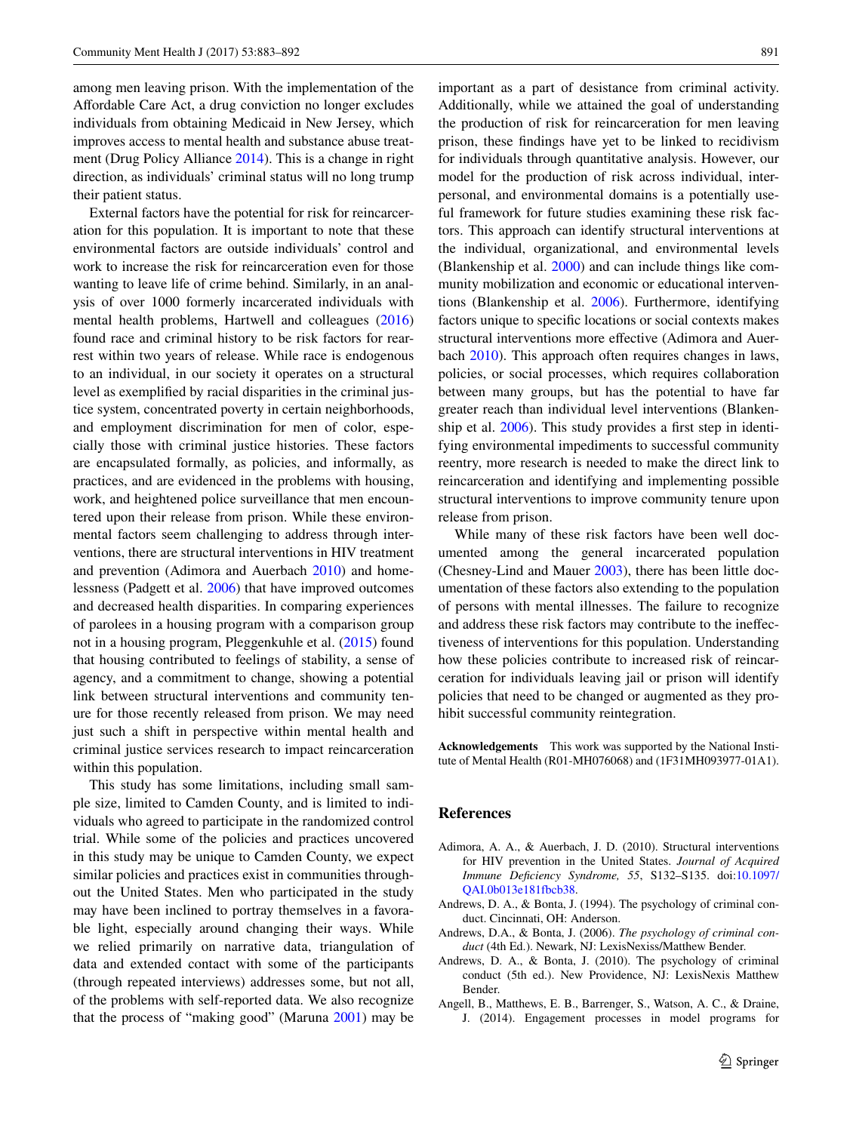among men leaving prison. With the implementation of the Affordable Care Act, a drug conviction no longer excludes individuals from obtaining Medicaid in New Jersey, which improves access to mental health and substance abuse treatment (Drug Policy Alliance [2014](#page-9-24)). This is a change in right direction, as individuals' criminal status will no long trump their patient status.

External factors have the potential for risk for reincarceration for this population. It is important to note that these environmental factors are outside individuals' control and work to increase the risk for reincarceration even for those wanting to leave life of crime behind. Similarly, in an analysis of over 1000 formerly incarcerated individuals with mental health problems, Hartwell and colleagues ([2016\)](#page-9-11) found race and criminal history to be risk factors for rearrest within two years of release. While race is endogenous to an individual, in our society it operates on a structural level as exemplified by racial disparities in the criminal justice system, concentrated poverty in certain neighborhoods, and employment discrimination for men of color, especially those with criminal justice histories. These factors are encapsulated formally, as policies, and informally, as practices, and are evidenced in the problems with housing, work, and heightened police surveillance that men encountered upon their release from prison. While these environmental factors seem challenging to address through interventions, there are structural interventions in HIV treatment and prevention (Adimora and Auerbach [2010](#page-8-4)) and homelessness (Padgett et al. [2006\)](#page-9-25) that have improved outcomes and decreased health disparities. In comparing experiences of parolees in a housing program with a comparison group not in a housing program, Pleggenkuhle et al. [\(2015](#page-9-26)) found that housing contributed to feelings of stability, a sense of agency, and a commitment to change, showing a potential link between structural interventions and community tenure for those recently released from prison. We may need just such a shift in perspective within mental health and criminal justice services research to impact reincarceration within this population.

This study has some limitations, including small sample size, limited to Camden County, and is limited to individuals who agreed to participate in the randomized control trial. While some of the policies and practices uncovered in this study may be unique to Camden County, we expect similar policies and practices exist in communities throughout the United States. Men who participated in the study may have been inclined to portray themselves in a favorable light, especially around changing their ways. While we relied primarily on narrative data, triangulation of data and extended contact with some of the participants (through repeated interviews) addresses some, but not all, of the problems with self-reported data. We also recognize that the process of "making good" (Maruna [2001\)](#page-9-27) may be important as a part of desistance from criminal activity. Additionally, while we attained the goal of understanding the production of risk for reincarceration for men leaving prison, these findings have yet to be linked to recidivism for individuals through quantitative analysis. However, our model for the production of risk across individual, interpersonal, and environmental domains is a potentially useful framework for future studies examining these risk factors. This approach can identify structural interventions at the individual, organizational, and environmental levels (Blankenship et al. [2000](#page-9-28)) and can include things like community mobilization and economic or educational interventions (Blankenship et al. [2006\)](#page-9-29). Furthermore, identifying factors unique to specific locations or social contexts makes structural interventions more effective (Adimora and Auerbach [2010](#page-8-4)). This approach often requires changes in laws, policies, or social processes, which requires collaboration between many groups, but has the potential to have far greater reach than individual level interventions (Blankenship et al. [2006](#page-9-29)). This study provides a first step in identifying environmental impediments to successful community reentry, more research is needed to make the direct link to reincarceration and identifying and implementing possible structural interventions to improve community tenure upon release from prison.

While many of these risk factors have been well documented among the general incarcerated population (Chesney-Lind and Mauer [2003](#page-9-22)), there has been little documentation of these factors also extending to the population of persons with mental illnesses. The failure to recognize and address these risk factors may contribute to the ineffectiveness of interventions for this population. Understanding how these policies contribute to increased risk of reincarceration for individuals leaving jail or prison will identify policies that need to be changed or augmented as they prohibit successful community reintegration.

**Acknowledgements** This work was supported by the National Institute of Mental Health (R01-MH076068) and (1F31MH093977-01A1).

#### **References**

- <span id="page-8-4"></span>Adimora, A. A., & Auerbach, J. D. (2010). Structural interventions for HIV prevention in the United States. *Journal of Acquired Immune Deficiency Syndrome, 55*, S132–S135. doi[:10.1097/](http://dx.doi.org/10.1097/QAI.0b013e181fbcb38) [QAI.0b013e181fbcb38.](http://dx.doi.org/10.1097/QAI.0b013e181fbcb38)
- <span id="page-8-0"></span>Andrews, D. A., & Bonta, J. (1994). The psychology of criminal conduct. Cincinnati, OH: Anderson.
- <span id="page-8-3"></span>Andrews, D.A., & Bonta, J. (2006). *The psychology of criminal conduct* (4th Ed.). Newark, NJ: LexisNexiss/Matthew Bender.
- <span id="page-8-1"></span>Andrews, D. A., & Bonta, J. (2010). The psychology of criminal conduct (5th ed.). New Providence, NJ: LexisNexis Matthew Bender.
- <span id="page-8-2"></span>Angell, B., Matthews, E. B., Barrenger, S., Watson, A. C., & Draine, J. (2014). Engagement processes in model programs for